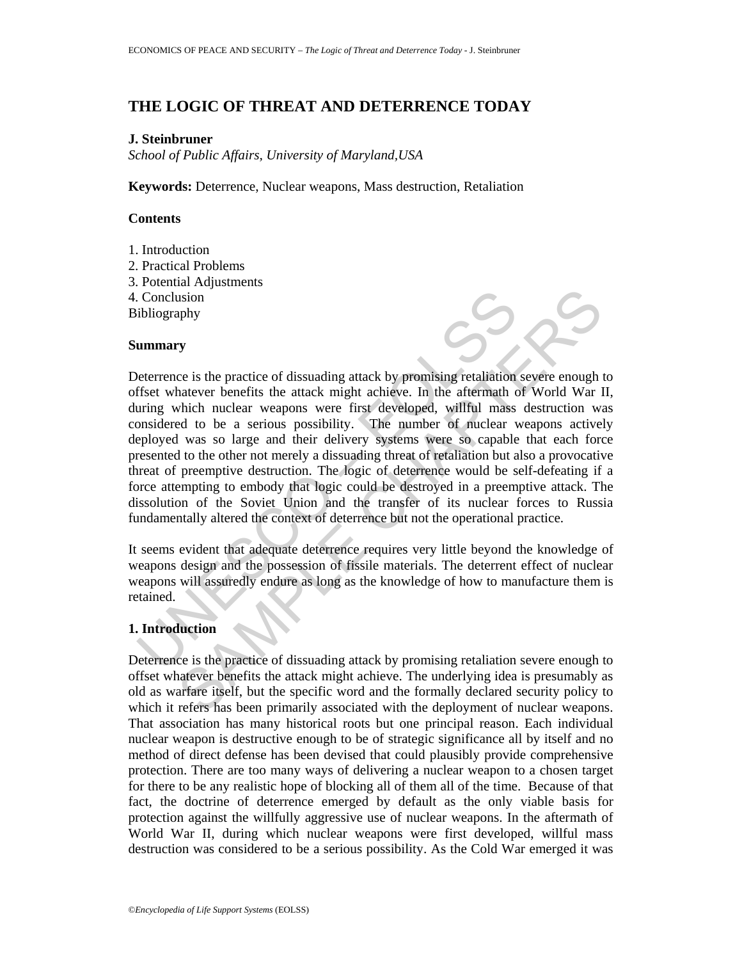# **THE LOGIC OF THREAT AND DETERRENCE TODAY**

## **J. Steinbruner**

*School of Public Affairs, University of Maryland,USA* 

**Keywords:** Deterrence, Nuclear weapons, Mass destruction, Retaliation

#### **Contents**

- 1. Introduction
- 2. Practical Problems
- 3. Potential Adjustments
- 4. Conclusion
- Bibliography

#### **Summary**

Conclusion<br>
ibliography<br>
ibliography<br>
ibliography<br>
ummary<br>
veterrence is the practice of dissuading attack by promising retaliation<br>
friset whatever benefits the attack might achieve. In the aftermath c<br>
implicant very sim The present of dissuading attack by promising retaliation severe enough that<br>even benefits the attack might achieve. In the aftermath of World War I<br>which nuclear weapons were first developed, willful mass destruction was<br> Deterrence is the practice of dissuading attack by promising retaliation severe enough to offset whatever benefits the attack might achieve. In the aftermath of World War II, during which nuclear weapons were first developed, willful mass destruction was considered to be a serious possibility. The number of nuclear weapons actively deployed was so large and their delivery systems were so capable that each force presented to the other not merely a dissuading threat of retaliation but also a provocative threat of preemptive destruction. The logic of deterrence would be self-defeating if a force attempting to embody that logic could be destroyed in a preemptive attack. The dissolution of the Soviet Union and the transfer of its nuclear forces to Russia fundamentally altered the context of deterrence but not the operational practice.

It seems evident that adequate deterrence requires very little beyond the knowledge of weapons design and the possession of fissile materials. The deterrent effect of nuclear weapons will assuredly endure as long as the knowledge of how to manufacture them is retained.

### **1. Introduction**

Deterrence is the practice of dissuading attack by promising retaliation severe enough to offset whatever benefits the attack might achieve. The underlying idea is presumably as old as warfare itself, but the specific word and the formally declared security policy to which it refers has been primarily associated with the deployment of nuclear weapons. That association has many historical roots but one principal reason. Each individual nuclear weapon is destructive enough to be of strategic significance all by itself and no method of direct defense has been devised that could plausibly provide comprehensive protection. There are too many ways of delivering a nuclear weapon to a chosen target for there to be any realistic hope of blocking all of them all of the time. Because of that fact, the doctrine of deterrence emerged by default as the only viable basis for protection against the willfully aggressive use of nuclear weapons. In the aftermath of World War II, during which nuclear weapons were first developed, willful mass destruction was considered to be a serious possibility. As the Cold War emerged it was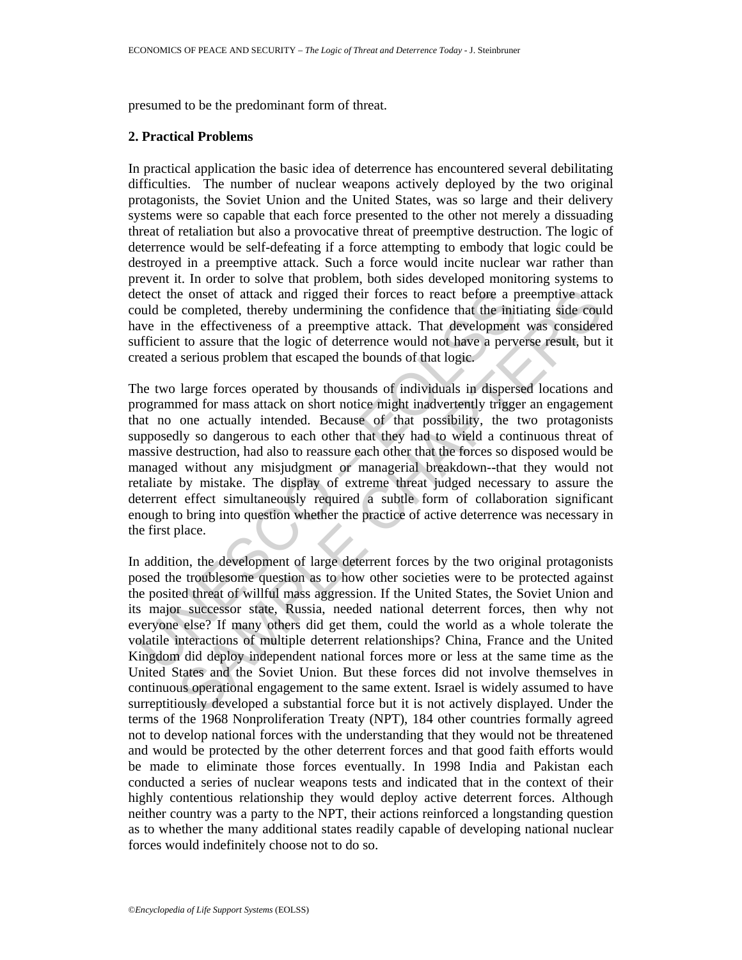presumed to be the predominant form of threat.

#### **2. Practical Problems**

In practical application the basic idea of deterrence has encountered several debilitating difficulties. The number of nuclear weapons actively deployed by the two original protagonists, the Soviet Union and the United States, was so large and their delivery systems were so capable that each force presented to the other not merely a dissuading threat of retaliation but also a provocative threat of preemptive destruction. The logic of deterrence would be self-defeating if a force attempting to embody that logic could be destroyed in a preemptive attack. Such a force would incite nuclear war rather than prevent it. In order to solve that problem, both sides developed monitoring systems to detect the onset of attack and rigged their forces to react before a preemptive attack could be completed, thereby undermining the confidence that the initiating side could have in the effectiveness of a preemptive attack. That development was considered sufficient to assure that the logic of deterrence would not have a perverse result, but it created a serious problem that escaped the bounds of that logic.

etect the onset of attack and rigged their forces to react before a pould be completed, thereby undermining the confidence that the initial diversions of a premptive attack. That development infificient to assure that the The two large forces operated by thousands of individuals in dispersed locations and programmed for mass attack on short notice might inadvertently trigger an engagement that no one actually intended. Because of that possibility, the two protagonists supposedly so dangerous to each other that they had to wield a continuous threat of massive destruction, had also to reassure each other that the forces so disposed would be managed without any misjudgment or managerial breakdown--that they would not retaliate by mistake. The display of extreme threat judged necessary to assure the deterrent effect simultaneously required a subtle form of collaboration significant enough to bring into question whether the practice of active deterrence was necessary in the first place.

e onset of attack and rigged their forces to react before a preemptive attacempted, thereby undermining the confidence that the initiating side could the effectiveness of a preemptive attack. That development was considere In addition, the development of large deterrent forces by the two original protagonists posed the troublesome question as to how other societies were to be protected against the posited threat of willful mass aggression. If the United States, the Soviet Union and its major successor state, Russia, needed national deterrent forces, then why not everyone else? If many others did get them, could the world as a whole tolerate the volatile interactions of multiple deterrent relationships? China, France and the United Kingdom did deploy independent national forces more or less at the same time as the United States and the Soviet Union. But these forces did not involve themselves in continuous operational engagement to the same extent. Israel is widely assumed to have surreptitiously developed a substantial force but it is not actively displayed. Under the terms of the 1968 Nonproliferation Treaty (NPT), 184 other countries formally agreed not to develop national forces with the understanding that they would not be threatened and would be protected by the other deterrent forces and that good faith efforts would be made to eliminate those forces eventually. In 1998 India and Pakistan each conducted a series of nuclear weapons tests and indicated that in the context of their highly contentious relationship they would deploy active deterrent forces. Although neither country was a party to the NPT, their actions reinforced a longstanding question as to whether the many additional states readily capable of developing national nuclear forces would indefinitely choose not to do so.